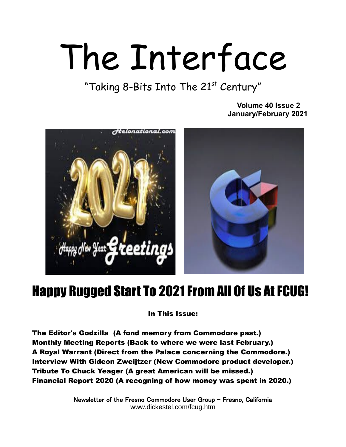# The Interface

"Taking 8-Bits Into The 21st Century"

 **Volume 40 Issue 2 January/February 2021** 



## Happy Rugged Start To 2021 From All Of Us At FCUG!

In This Issue:

The Editor's Godzilla (A fond memory from Commodore past.) Monthly Meeting Reports (Back to where we were last February.) A Royal Warrant (Direct from the Palace concerning the Commodore.) Interview With Gideon Zweijtzer (New Commodore product developer.) Tribute To Chuck Yeager (A great American will be missed.) Financial Report 2020 (A recogning of how money was spent in 2020.)

> Newsletter of the Fresno Commodore User Group – Fresno, California www.dickestel.com/fcug.htm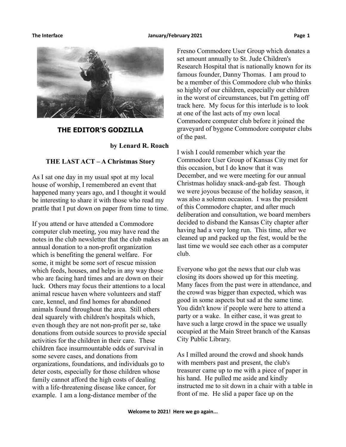

### **THE EDITOR'S GODZILLA**

**by Lenard R. Roach**

### **THE LAST ACT – A Christmas Story**

As I sat one day in my usual spot at my local house of worship, I remembered an event that happened many years ago, and I thought it would be interesting to share it with those who read my prattle that I put down on paper from time to time.

If you attend or have attended a Commodore computer club meeting, you may have read the notes in the club newsletter that the club makes an annual donation to a non-profit organization which is benefiting the general welfare. For some, it might be some sort of rescue mission which feeds, houses, and helps in any way those who are facing hard times and are down on their luck. Others may focus their attentions to a local animal rescue haven where volunteers and staff care, kennel, and find homes for abandoned animals found throughout the area. Still others deal squarely with children's hospitals which, even though they are not non-profit per se, take donations from outside sources to provide special activities for the children in their care. These children face insurmountable odds of survival in some severe cases, and donations from organizations, foundations, and individuals go to deter costs, especially for those children whose family cannot afford the high costs of dealing with a life-threatening disease like cancer, for example. I am a long-distance member of the

Fresno Commodore User Group which donates a set amount annually to St. Jude Children's Research Hospital that is nationally known for its famous founder, Danny Thomas. I am proud to be a member of this Commodore club who thinks so highly of our children, especially our children in the worst of circumstances, but I'm getting off track here. My focus for this interlude is to look at one of the last acts of my own local Commodore computer club before it joined the graveyard of bygone Commodore computer clubs of the past.

I wish I could remember which year the Commodore User Group of Kansas City met for this occasion, but I do know that it was December, and we were meeting for our annual Christmas holiday snack-and-gab fest. Though we were joyous because of the holiday season, it was also a solemn occasion. I was the president of this Commodore chapter, and after much deliberation and consultation, we board members decided to disband the Kansas City chapter after having had a very long run. This time, after we cleaned up and packed up the fest, would be the last time we would see each other as a computer club.

Everyone who got the news that our club was closing its doors showed up for this meeting. Many faces from the past were in attendance, and the crowd was bigger than expected, which was good in some aspects but sad at the same time. You didn't know if people were here to attend a party or a wake. In either case, it was great to have such a large crowd in the space we usually occupied at the Main Street branch of the Kansas City Public Library.

As I milled around the crowd and shook hands with members past and present, the club's treasurer came up to me with a piece of paper in his hand. He pulled me aside and kindly instructed me to sit down in a chair with a table in front of me. He slid a paper face up on the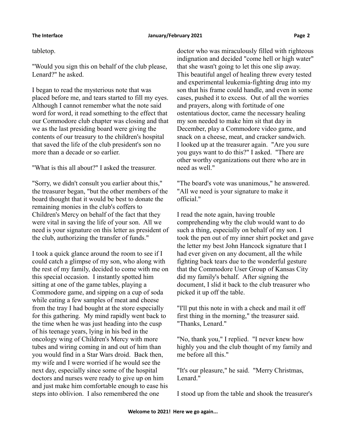### tabletop.

"Would you sign this on behalf of the club please, Lenard?" he asked.

I began to read the mysterious note that was placed before me, and tears started to fill my eyes. Although I cannot remember what the note said word for word, it read something to the effect that our Commodore club chapter was closing and that we as the last presiding board were giving the contents of our treasury to the children's hospital that saved the life of the club president's son no more than a decade or so earlier.

"What is this all about?" I asked the treasurer.

"Sorry, we didn't consult you earlier about this," the treasurer began, "but the other members of the board thought that it would be best to donate the remaining monies in the club's coffers to Children's Mercy on behalf of the fact that they were vital in saving the life of your son. All we need is your signature on this letter as president of the club, authorizing the transfer of funds."

I took a quick glance around the room to see if I could catch a glimpse of my son, who along with the rest of my family, decided to come with me on this special occasion. I instantly spotted him sitting at one of the game tables, playing a Commodore game, and sipping on a cup of soda while eating a few samples of meat and cheese from the tray I had bought at the store especially for this gathering. My mind rapidly went back to the time when he was just heading into the cusp of his teenage years, lying in his bed in the oncology wing of Children's Mercy with more tubes and wiring coming in and out of him than you would find in a Star Wars droid. Back then, my wife and I were worried if he would see the next day, especially since some of the hospital doctors and nurses were ready to give up on him and just make him comfortable enough to ease his steps into oblivion. I also remembered the one

doctor who was miraculously filled with righteous indignation and decided "come hell or high water" that she wasn't going to let this one slip away. This beautiful angel of healing threw every tested and experimental leukemia-fighting drug into my son that his frame could handle, and even in some cases, pushed it to excess. Out of all the worries and prayers, along with fortitude of one ostentatious doctor, came the necessary healing my son needed to make him sit that day in December, play a Commodore video game, and snack on a cheese, meat, and cracker sandwich. I looked up at the treasurer again. "Are you sure you guys want to do this?" I asked. "There are other worthy organizations out there who are in need as well."

"The board's vote was unanimous," he answered. "All we need is your signature to make it official."

I read the note again, having trouble comprehending why the club would want to do such a thing, especially on behalf of my son. I took the pen out of my inner shirt pocket and gave the letter my best John Hancock signature that I had ever given on any document, all the while fighting back tears due to the wonderful gesture that the Commodore User Group of Kansas City did my family's behalf. After signing the document, I slid it back to the club treasurer who picked it up off the table.

"I'll put this note in with a check and mail it off first thing in the morning," the treasurer said. "Thanks, Lenard."

"No, thank you," I replied. "I never knew how highly you and the club thought of my family and me before all this."

"It's our pleasure," he said. "Merry Christmas, Lenard."

I stood up from the table and shook the treasurer's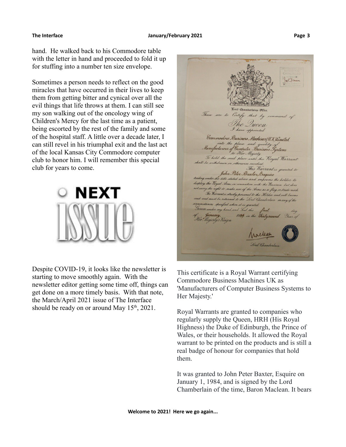Sometimes a person needs to reflect on the good miracles that have occurred in their lives to keep them from getting bitter and cynical over all the evil things that life throws at them. I can still see my son walking out of the oncology wing of Children's Mercy for the last time as a patient, being escorted by the rest of the family and some of the hospital staff. A little over a decade later, I can still revel in his triumphal exit and the last act of the local Kansas City Commodore computer club to honor him. I will remember this special club for years to come.



Despite COVID-19, it looks like the newsletter is starting to move smoothly again. With the newsletter editor getting some time off, things can get done on a more timely basis. With that note, the March/April 2021 issue of The Interface should be ready on or around May  $15<sup>th</sup>$ , 2021.

These are to Certify that by The Queen I have appointed Commodore Business Machines(UK) Limited Manufacturers of Computer Business. to Her Majesty id place until this Royal Warrant vise revoked This Warrant is granted to John Peter Baxter, Esquire title stated above and empowers the holder to the Royal Arms in con with the Business but does ght to make use of the Arms as a flag or trade mark ntes structly personal to the Holder and will be be returned to the Lord Chamberlain in any of the specified when it is granted d and Seal this 1984 in the thirty.

This certificate is a Royal Warrant certifying Commodore Business Machines UK as 'Manufacturers of Computer Business Systems to Her Majesty.'

Royal Warrants are granted to companies who regularly supply the Queen, HRH (His Royal Highness) the Duke of Edinburgh, the Prince of Wales, or their households. It allowed the Royal warrant to be printed on the products and is still a real badge of honour for companies that hold them.

It was granted to John Peter Baxter, Esquire on January 1, 1984, and is signed by the Lord Chamberlain of the time, Baron Maclean. It bears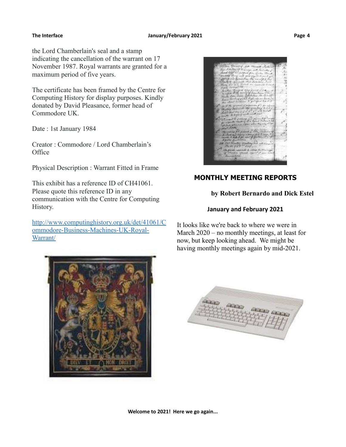### The Interface **The Interface Construction Construction** January/February 2021 **Page 4**

the Lord Chamberlain's seal and a stamp indicating the cancellation of the warrant on 17 November 1987. Royal warrants are granted for a maximum period of five years.

The certificate has been framed by the Centre for Computing History for display purposes. Kindly donated by David Pleasance, former head of Commodore UK.

Date : 1st January 1984

Creator : Commodore / Lord Chamberlain's **Office** 

Physical Description : Warrant Fitted in Frame

This exhibit has a reference ID of CH41061. Please quote this reference ID in any communication with the Centre for Computing History.

[http://www.computinghistory.org.uk/det/41061/C](http://www.computinghistory.org.uk/det/41061/Commodore-Business-Machines-UK-Royal-Warrant/) [ommodore-Business-Machines-UK-Royal-](http://www.computinghistory.org.uk/det/41061/Commodore-Business-Machines-UK-Royal-Warrant/)[Warrant/](http://www.computinghistory.org.uk/det/41061/Commodore-Business-Machines-UK-Royal-Warrant/)





### **MONTHLY MEETING REPORTS**

### **by Robert Bernardo and Dick Estel**

### **January and February 2021**

It looks like we're back to where we were in March 2020 – no monthly meetings, at least for now, but keep looking ahead. We might be having monthly meetings again by mid-2021.

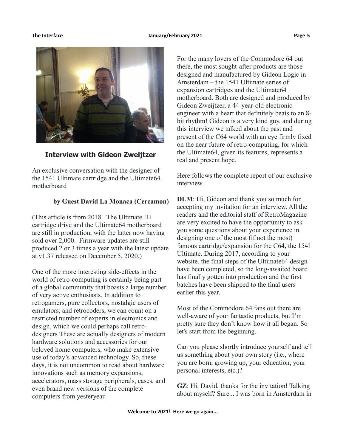

**Interview with Gideon Zweijtzer**

An exclusive conversation with the designer of the 1541 Ultimate cartridge and the Ultimate64 motherboard

### **by Guest David La Monaca (Cercamon)**

(This article is from 2018. The Ultimate II+ cartridge drive and the Ultimate64 motherboard are still in production, with the latter now having sold over 2,000. Firmware updates are still produced 2 or 3 times a year with the latest update at v1.37 released on December 5, 2020.)

One of the more interesting side-effects in the world of retro-computing is certainly being part of a global community that boasts a large number of very active enthusiasts. In addition to retrogamers, pure collectors, nostalgic users of emulators, and retrocoders, we can count on a restricted number of experts in electronics and design, which we could perhaps call retrodesigners These are actually designers of modern hardware solutions and accessories for our beloved home computers, who make extensive use of today's advanced technology. So, these days, it is not uncommon to read about hardware innovations such as memory expansions, accelerators, mass storage peripherals, cases, and even brand new versions of the complete computers from yesteryear.

For the many lovers of the Commodore 64 out there, the most sought-after products are those designed and manufactured by Gideon Logic in Amsterdam – the 1541 Ultimate series of expansion cartridges and the Ultimate64 motherboard. Both are designed and produced by Gideon Zweijtzer, a 44-year-old electronic engineer with a heart that definitely beats to an 8 bit rhythm! Gideon is a very kind guy, and during this interview we talked about the past and present of the C64 world with an eye firmly fixed on the near future of retro-computing, for which the Ultimate64, given its features, represents a real and present hope.

Here follows the complete report of our exclusive interview.

**DLM**: Hi, Gideon and thank you so much for accepting my invitation for an interview. All the readers and the editorial staff of RetroMagazine are very excited to have the opportunity to ask you some questions about your experience in designing one of the most (if not the most) famous cartridge/expansion for the C64, the 1541 Ultimate. During 2017, according to your website, the final steps of the Ultimate64 design have been completed, so the long-awaited board has finally gotten into production and the first batches have been shipped to the final users earlier this year.

Most of the Commodore 64 fans out there are well-aware of your fantastic products, but I'm pretty sure they don't know how it all began. So let's start from the beginning.

Can you please shortly introduce yourself and tell us something about your own story (i.e., where you are born, growing up, your education, your personal interests, etc.)?

**GZ**: Hi, David, thanks for the invitation! Talking about myself? Sure... I was born in Amsterdam in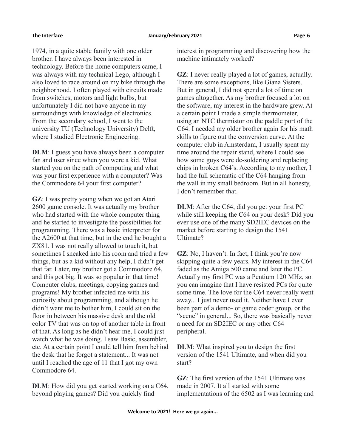1974, in a quite stable family with one older brother. I have always been interested in technology. Before the home computers came, I was always with my technical Lego, although I also loved to race around on my bike through the neighborhood. I often played with circuits made from switches, motors and light bulbs, but unfortunately I did not have anyone in my surroundings with knowledge of electronics. From the secondary school, I went to the university TU (Technology University) Delft, where I studied Electronic Engineering.

**DLM**: I guess you have always been a computer fan and user since when you were a kid. What started you on the path of computing and what was your first experience with a computer? Was the Commodore 64 your first computer?

**GZ**: I was pretty young when we got an Atari 2600 game console. It was actually my brother who had started with the whole computer thing and he started to investigate the possibilities for programming. There was a basic interpreter for the A2600 at that time, but in the end he bought a ZX81. I was not really allowed to touch it, but sometimes I sneaked into his room and tried a few things, but as a kid without any help, I didn't get that far. Later, my brother got a Commodore 64, and this got big. It was so popular in that time! Computer clubs, meetings, copying games and programs! My brother infected me with his curiosity about programming, and although he didn't want me to bother him, I could sit on the floor in between his massive desk and the old color TV that was on top of another table in front of that. As long as he didn't hear me, I could just watch what he was doing. I saw Basic, assembler, etc. At a certain point I could tell him from behind the desk that he forgot a statement... It was not until I reached the age of 11 that I got my own Commodore 64.

**DLM**: How did you get started working on a C64, beyond playing games? Did you quickly find

interest in programming and discovering how the machine intimately worked?

**GZ**: I never really played a lot of games, actually. There are some exceptions, like Giana Sisters. But in general, I did not spend a lot of time on games altogether. As my brother focused a lot on the software, my interest in the hardware grew. At a certain point I made a simple thermometer, using an NTC thermistor on the paddle port of the C64. I needed my older brother again for his math skills to figure out the conversion curve. At the computer club in Amsterdam, I usually spent my time around the repair stand, where I could see how some guys were de-soldering and replacing chips in broken C64's. According to my mother, I had the full schematic of the C64 hanging from the wall in my small bedroom. But in all honesty, I don't remember that.

**DLM**: After the C64, did you get your first PC while still keeping the C64 on your desk? Did you ever use one of the many SD2IEC devices on the market before starting to design the 1541 Ultimate?

**GZ**: No, I haven't. In fact, I think you're now skipping quite a few years. My interest in the C64 faded as the Amiga 500 came and later the PC. Actually my first PC was a Pentium 120 MHz, so you can imagine that I have resisted PCs for quite some time. The love for the C64 never really went away... I just never used it. Neither have I ever been part of a demo- or game coder group, or the "scene" in general... So, there was basically never a need for an SD2IEC or any other C64 peripheral.

**DLM**: What inspired you to design the first version of the 1541 Ultimate, and when did you start?

**GZ**: The first version of the 1541 Ultimate was made in 2007. It all started with some implementations of the 6502 as I was learning and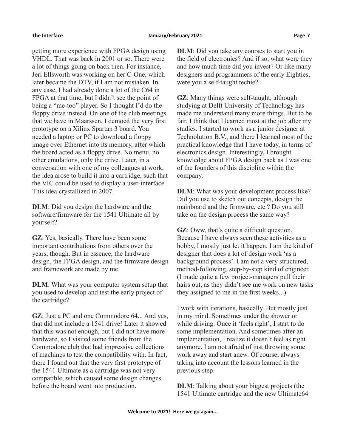getting more experience with FPGA design using VHDL. That was back in 2001 or so. There were a lot of things going on back then. For instance, Jeri Ellsworth was working on her C-One, which later became the DTV, if I am not mistaken. In any case, I had already done a lot of the C64 in FPGA at that time, but I didn't see the point of being a "me-too" player. So I thought I'd do the floppy drive instead. On one of the club meetings that we have in Maarssen, I demoed the very first prototype on a Xilinx Spartan 3 board. You needed a laptop or PC to download a floppy image over Ethernet into its memory, after which the board acted as a floppy drive. No menu, no other emulations, only the drive. Later, in a conversation with one of my colleagues at work, the idea arose to build it into a cartridge, such that the VIC could be used to display a user-interface. This idea crystallized in 2007.

**DLM**: Did you design the hardware and the software/firmware for the 1541 Ultimate all by yourself?

**GZ**: Yes, basically. There have been some important contributions from others over the years, though. But in essence, the hardware design, the FPGA design, and the firmware design and framework are made by me.

**DLM**: What was your computer system setup that you used to develop and test the early project of the cartridge?

**GZ**: Just a PC and one Commodore 64... And yes, that did not include a 1541 drive! Later it showed that this was not enough, but I did not have more hardware, so I visited some friends from the Commodore club that had impressive collections of machines to test the compatibility with. In fact, there I found out that the very first prototype of the 1541 Ultimate as a cartridge was not very compatible, which caused some design changes before the board went into production.

**DLM**: Did you take any courses to start you in the field of electronics? And if so, what were they and how much time did you invest? Or like many designers and programmers of the early Eighties, were you a self-taught techie?

**GZ**: Many things were self-taught, although studying at Delft University of Technology has made me understand many more things. But to be fair, I think that I learned most at the job after my studies. I started to work as a junior designer at Technolution B.V., and there I learned most of the practical knowledge that I have today, in terms of electronics design. Interestingly, I brought knowledge about FPGA design back as I was one of the founders of this discipline within the company.

**DLM**: What was your development process like? Did you use to sketch out concepts, design the mainboard and the firmware, etc.? Do you still take on the design process the same way?

**GZ**: Oww, that's quite a difficult question. Because I have always seen these activities as a hobby, I mostly just let it happen. I am the kind of designer that does a lot of design work 'as a background process'. I am not a very structured, method-following, step-by-step kind of engineer. (I made quite a few project-managers pull their hairs out, as they didn't see me work on new tasks they assigned to me in the first weeks...)

I work with iterations, basically. But mostly just in my mind. Sometimes under the shower or while driving. Once it 'feels right', I start to do some implementation. And sometimes after an implementation, I realize it doesn't feel as right anymore. I am not afraid of just throwing some work away and start anew. Of course, always taking into account the lessons learned in the previous step.

**DLM**: Talking about your biggest projects (the 1541 Ultimate cartridge and the new Ultimate64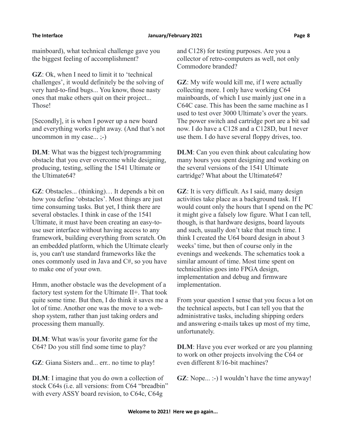mainboard), what technical challenge gave you the biggest feeling of accomplishment?

**GZ**: Ok, when I need to limit it to 'technical challenges', it would definitely be the solving of very hard-to-find bugs... You know, those nasty ones that make others quit on their project... Those!

[Secondly], it is when I power up a new board and everything works right away. (And that's not uncommon in my case... ;-)

**DLM**: What was the biggest tech/programming obstacle that you ever overcome while designing, producing, testing, selling the 1541 Ultimate or the Ultimate64?

**GZ**: Obstacles... (thinking)… It depends a bit on how you define 'obstacles'. Most things are just time consuming tasks. But yet, I think there are several obstacles. I think in case of the 1541 Ultimate, it must have been creating an easy-touse user interface without having access to any framework, building everything from scratch. On an embedded platform, which the Ultimate clearly is, you can't use standard frameworks like the ones commonly used in Java and C#, so you have to make one of your own.

Hmm, another obstacle was the development of a factory test system for the Ultimate II+. That took quite some time. But then, I do think it saves me a lot of time. Another one was the move to a webshop system, rather than just taking orders and processing them manually.

**DLM**: What was/is your favorite game for the C64? Do you still find some time to play?

**GZ**: Giana Sisters and... err.. no time to play!

**DLM**: I imagine that you do own a collection of stock C64s (i.e. all versions: from C64 "breadbin" with every ASSY board revision, to C64c, C64g

and C128) for testing purposes. Are you a collector of retro-computers as well, not only Commodore branded?

**GZ**: My wife would kill me, if I were actually collecting more. I only have working C64 mainboards, of which I use mainly just one in a C64C case. This has been the same machine as I used to test over 3000 Ultimate's over the years. The power switch and cartridge port are a bit sad now. I do have a C128 and a C128D, but I never use them. I do have several floppy drives, too.

**DLM**: Can you even think about calculating how many hours you spent designing and working on the several versions of the 1541 Ultimate cartridge? What about the Ultimate64?

**GZ**: It is very difficult. As I said, many design activities take place as a background task. If I would count only the hours that I spend on the PC it might give a falsely low figure. What I can tell, though, is that hardware designs, board layouts and such, usually don't take that much time. I think I created the U64 board design in about 3 weeks' time, but then of course only in the evenings and weekends. The schematics took a similar amount of time. Most time spent on technicalities goes into FPGA design, implementation and debug and firmware implementation.

From your question I sense that you focus a lot on the technical aspects, but I can tell you that the administrative tasks, including shipping orders and answering e-mails takes up most of my time, unfortunately.

**DLM**: Have you ever worked or are you planning to work on other projects involving the C64 or even different 8/16-bit machines?

**GZ**: Nope... :-) I wouldn't have the time anyway!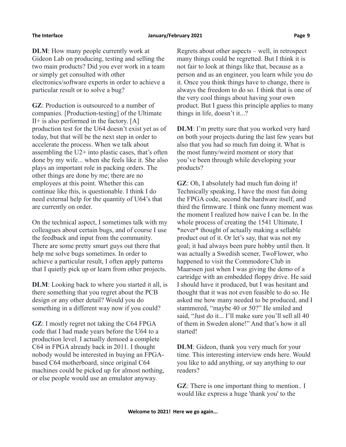### **The Interface January/February 2021 Page 9**

**DLM**: How many people currently work at Gideon Lab on producing, testing and selling the two main products? Did you ever work in a team or simply get consulted with other electronics/software experts in order to achieve a particular result or to solve a bug?

**GZ**: Production is outsourced to a number of companies. [Production-testing] of the Ultimate  $II<sup>+</sup>$  is also performed in the factory.  $[A]$ production test for the U64 doesn't exist yet as of today, but that will be the next step in order to accelerate the process. When we talk about assembling the U2+ into plastic cases, that's often done by my wife... when she feels like it. She also plays an important role in packing orders. The other things are done by me; there are no employees at this point. Whether this can continue like this, is questionable. I think I do need external help for the quantity of U64's that are currently on order.

On the technical aspect, I sometimes talk with my colleagues about certain bugs, and of course I use the feedback and input from the community. There are some pretty smart guys out there that help me solve bugs sometimes. In order to achieve a particular result, I often apply patterns that I quietly pick up or learn from other projects.

**DLM**: Looking back to where you started it all, is there something that you regret about the PCB design or any other detail? Would you do something in a different way now if you could?

**GZ**: I mostly regret not taking the C64 FPGA code that I had made years before the U64 to a production level. I actually demoed a complete C64 in FPGA already back in 2011. I thought nobody would be interested in buying an FPGAbased C64 motherboard, since original C64 machines could be picked up for almost nothing, or else people would use an emulator anyway.

Regrets about other aspects – well, in retrospect many things could be regretted. But I think it is not fair to look at things like that, because as a person and as an engineer, you learn while you do it. Once you think things have to change, there is always the freedom to do so. I think that is one of the very cool things about having your own product. But I guess this principle applies to many things in life, doesn't it...?

**DLM**: I'm pretty sure that you worked very hard on both your projects during the last few years but also that you had so much fun doing it. What is the most funny/weird moment or story that you've been through while developing your products?

**GZ**: Oh, I absolutely had much fun doing it! Technically speaking, I have the most fun doing the FPGA code, second the hardware itself, and third the firmware. I think one funny moment was the moment I realized how naive I can be. In the whole process of creating the 1541 Ultimate, I \*never\* thought of actually making a sellable product out of it. Or let's say, that was not my goal; it had always been pure hobby until then. It was actually a Swedish scener, TwoFlower, who happened to visit the Commodore Club in Maarssen just when I was giving the demo of a cartridge with an embedded floppy drive. He said I should have it produced, but I was hesitant and thought that it was not even feasible to do so. He asked me how many needed to be produced, and I stammered, "maybe 40 or 50?" He smiled and said, "Just do it... I'll make sure you'll sell all 40 of them in Sweden alone!" And that's how it all started!

**DLM**: Gideon, thank you very much for your time. This interesting interview ends here. Would you like to add anything, or say anything to our readers?

**GZ**: There is one important thing to mention.. I would like express a huge 'thank you' to the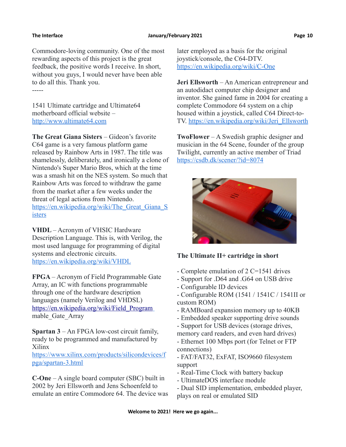Commodore-loving community. One of the most rewarding aspects of this project is the great feedback, the positive words I receive. In short, without you guys, I would never have been able to do all this. Thank you. -----

1541 Ultimate cartridge and Ultimate64 motherboard official website – [http://www.ultimate64.com](http://www.ultimate64.com/)

**The Great Giana Sisters** – Gideon's favorite C64 game is a very famous platform game released by Rainbow Arts in 1987. The title was shamelessly, deliberately, and ironically a clone of Nintendo's Super Mario Bros, which at the time was a smash hit on the NES system. So much that Rainbow Arts was forced to withdraw the game from the market after a few weeks under the threat of legal actions from Nintendo. https://en.wikipedia.org/wiki/The Great Giana S [isters](https://en.wikipedia.org/wiki/The_Great_Giana_Sisters)

**VHDL** – Acronym of VHSIC Hardware Description Language. This is, with Verilog, the most used language for programming of digital systems and electronic circuits. <https://en.wikipedia.org/wiki/VHDL>

**FPGA** – Acronym of Field Programmable Gate Array, an IC with functions programmable through one of the hardware description languages (namely Verilog and VHDSL)  [https://en.wikipedia.org/wiki/Field\\_Program](https://en.wikipedia.org/wiki/Field_Program) mable\_Gate\_Array

**Spartan 3** – An FPGA low-cost circuit family, ready to be programmed and manufactured by Xilinx

[https://www.xilinx.com/products/silicondevices/f](https://www.xilinx.com/products/silicondevices/fpga/spartan-3.html) [pga/spartan-3.html](https://www.xilinx.com/products/silicondevices/fpga/spartan-3.html)

**C-One** – A single board computer (SBC) built in 2002 by Jeri Ellsworth and Jens Schoenfeld to emulate an entire Commodore 64. The device was later employed as a basis for the original joystick/console, the C64-DTV. <https://en.wikipedia.org/wiki/C-One>

**Jeri Ellsworth** – An American entrepreneur and an autodidact computer chip designer and inventor. She gained fame in 2004 for creating a complete Commodore 64 system on a chip housed within a joystick, called C64 Direct-to-TV. [https://en.wikipedia.org/wiki/Jeri\\_Ellsworth](https://en.wikipedia.org/wiki/Jeri_Ellsworth)

**TwoFlower** – A Swedish graphic designer and musician in the 64 Scene, founder of the group Twilight, currently an active member of Triad <https://csdb.dk/scener/?id=8074>



### **The Ultimate II+ cartridge in short**

- Complete emulation of 2 C=1541 drives
- Support for .D64 and .G64 on USB drive
- Configurable ID devices
- Configurable ROM (1541 / 1541C / 1541II or custom ROM)
- RAMBoard expansion memory up to 40KB
- Embedded speaker supporting drive sounds
- Support for USB devices (storage drives, memory card readers, and even hard drives)
- Ethernet 100 Mbps port (for Telnet or FTP connections)

- FAT/FAT32, ExFAT, ISO9660 filesystem support

- Real-Time Clock with battery backup
- UltimateDOS interface module
- Dual SID implementation, embedded player, plays on real or emulated SID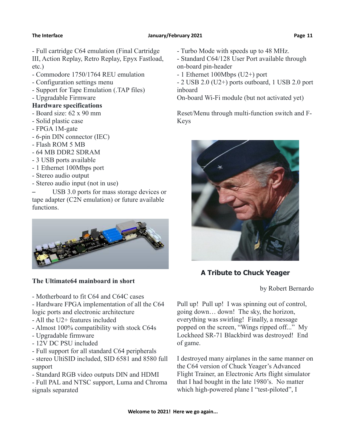- Full cartridge C64 emulation (Final Cartridge III, Action Replay, Retro Replay, Epyx Fastload, etc.)

- Commodore 1750/1764 REU emulation
- Configuration settings menu
- Support for Tape Emulation (.TAP files)
- Upgradable Firmware

### **Hardware specifications**

- Board size: 62 x 90 mm
- Solid plastic case
- FPGA 1M-gate
- 6-pin DIN connector (IEC)
- Flash ROM 5 MB
- 64 MB DDR2 SDRAM
- 3 USB ports available
- 1 Ethernet 100Mbps port
- Stereo audio output
- Stereo audio input (not in use)

USB 3.0 ports for mass storage devices or tape adapter (C2N emulation) or future available functions.



### **The Ultimate64 mainboard in short**

- Motherboard to fit C64 and C64C cases
- Hardware FPGA implementation of all the C64 logic ports and electronic architecture
- All the U2+ features included
- Almost 100% compatibility with stock C64s
- Upgradable firmware
- 12V DC PSU included
- Full support for all standard C64 peripherals

- stereo UltiSID included, SID 6581 and 8580 full support

- Standard RGB video outputs DIN and HDMI
- Full PAL and NTSC support, Luma and Chroma signals separated
- Turbo Mode with speeds up to 48 MHz.
- Standard C64/128 User Port available through on-board pin-header
- 1 Ethernet 100Mbps (U2+) port

- 2 USB 2.0 (U2+) ports outboard, 1 USB 2.0 port inboard

On-board Wi-Fi module (but not activated yet)

Reset/Menu through multi-function switch and F-Keys



### **A Tribute to Chuck Yeager**

by Robert Bernardo

Pull up! Pull up! I was spinning out of control, going down… down! The sky, the horizon, everything was swirling! Finally, a message popped on the screen, "Wings ripped off..." My Lockheed SR-71 Blackbird was destroyed! End of game.

I destroyed many airplanes in the same manner on the C64 version of Chuck Yeager's Advanced Flight Trainer, an Electronic Arts flight simulator that I had bought in the late 1980's. No matter which high-powered plane I "test-piloted", I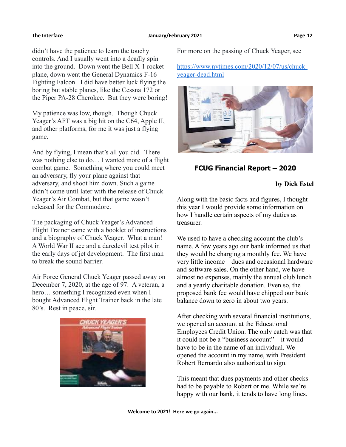didn't have the patience to learn the touchy controls. And I usually went into a deadly spin into the ground. Down went the Bell X-1 rocket plane, down went the General Dynamics F-16 Fighting Falcon. I did have better luck flying the boring but stable planes, like the Cessna 172 or the Piper PA-28 Cherokee. But they were boring!

My patience was low, though. Though Chuck Yeager's AFT was a big hit on the C64, Apple II, and other platforms, for me it was just a flying game.

And by flying, I mean that's all you did. There was nothing else to do… I wanted more of a flight combat game. Something where you could meet an adversary, fly your plane against that adversary, and shoot him down. Such a game didn't come until later with the release of Chuck Yeager's Air Combat, but that game wasn't released for the Commodore.

The packaging of Chuck Yeager's Advanced Flight Trainer came with a booklet of instructions and a biography of Chuck Yeager. What a man! A World War II ace and a daredevil test pilot in the early days of jet development. The first man to break the sound barrier.

Air Force General Chuck Yeager passed away on December 7, 2020, at the age of 97. A veteran, a hero… something I recognized even when I bought Advanced Flight Trainer back in the late 80's. Rest in peace, sir.



For more on the passing of Chuck Yeager, see

[https://www.nytimes.com/2020/12/07/us/chuck](https://www.nytimes.com/2020/12/07/us/chuck-yeager-dead.html)[yeager-dead.html](https://www.nytimes.com/2020/12/07/us/chuck-yeager-dead.html)



### **FCUG Financial Report – 2020**

**by Dick Estel**

Along with the basic facts and figures, I thought this year I would provide some information on how I handle certain aspects of my duties as treasurer.

We used to have a checking account the club's name. A few years ago our bank informed us that they would be charging a monthly fee. We have very little income – dues and occasional hardware and software sales. On the other hand, we have almost no expenses, mainly the annual club lunch and a yearly charitable donation. Even so, the proposed bank fee would have chipped our bank balance down to zero in about two years.

After checking with several financial institutions, we opened an account at the Educational Employees Credit Union. The only catch was that it could not be a "business account" – it would have to be in the name of an individual. We opened the account in my name, with President Robert Bernardo also authorized to sign.

This meant that dues payments and other checks had to be payable to Robert or me. While we're happy with our bank, it tends to have long lines.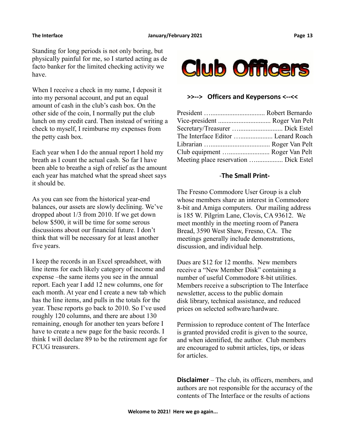Standing for long periods is not only boring, but physically painful for me, so I started acting as de facto banker for the limited checking activity we have.

When I receive a check in my name, I deposit it into my personal account, and put an equal amount of cash in the club's cash box. On the other side of the coin, I normally put the club lunch on my credit card. Then instead of writing a check to myself, I reimburse my expenses from the petty cash box.

Each year when I do the annual report I hold my breath as I count the actual cash. So far I have been able to breathe a sigh of relief as the amount each year has matched what the spread sheet says it should be.

As you can see from the historical year-end balances, our assets are slowly declining. We've dropped about 1/3 from 2010. If we get down below \$500, it will be time for some serous discussions about our financial future. I don't think that will be necessary for at least another five years.

I keep the records in an Excel spreadsheet, with line items for each likely category of income and expense –the same items you see in the annual report. Each year I add 12 new columns, one for each month. At year end I create a new tab which has the line items, and pulls in the totals for the year. These reports go back to 2010. So I've used roughly 120 columns, and there are about 130 remaining, enough for another ten years before I have to create a new page for the basic records. I think I will declare 89 to be the retirement age for FCUG treasurers.



### **>>--> Officers and Keypersons <--<<**

| Vice-president  Roger Van Pelt        |  |
|---------------------------------------|--|
|                                       |  |
| The Interface Editor  Lenard Roach    |  |
|                                       |  |
| Club equipment  Roger Van Pelt        |  |
| Meeting place reservation  Dick Estel |  |
|                                       |  |

### -**The Small Print-**

The Fresno Commodore User Group is a club whose members share an interest in Commodore 8-bit and Amiga computers. Our mailing address is 185 W. Pilgrim Lane, Clovis, CA 93612. We meet monthly in the meeting room of Panera Bread, 3590 West Shaw, Fresno, CA. The meetings generally include demonstrations, discussion, and individual help.

Dues are \$12 for 12 months. New members receive a "New Member Disk" containing a number of useful Commodore 8-bit utilities. Members receive a subscription to The Interface newsletter, access to the public domain disk library, technical assistance, and reduced prices on selected software/hardware.

Permission to reproduce content of The Interface is granted provided credit is given to the source, and when identified, the author. Club members are encouraged to submit articles, tips, or ideas for articles.

**Disclaimer** – The club, its officers, members, and authors are not responsible for the accuracy of the contents of The Interface or the results of actions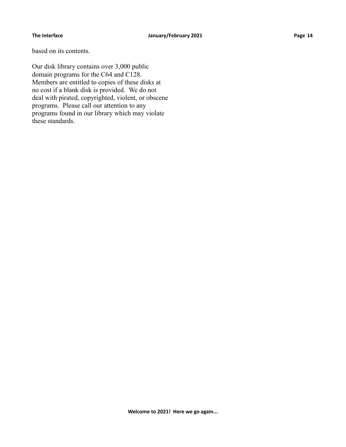based on its contents.

Our disk library contains over 3,000 public domain programs for the C64 and C128. Members are entitled to copies of these disks at no cost if a blank disk is provided. We do not deal with pirated, copyrighted, violent, or obscene programs. Please call our attention to any programs found in our library which may violate these standards.